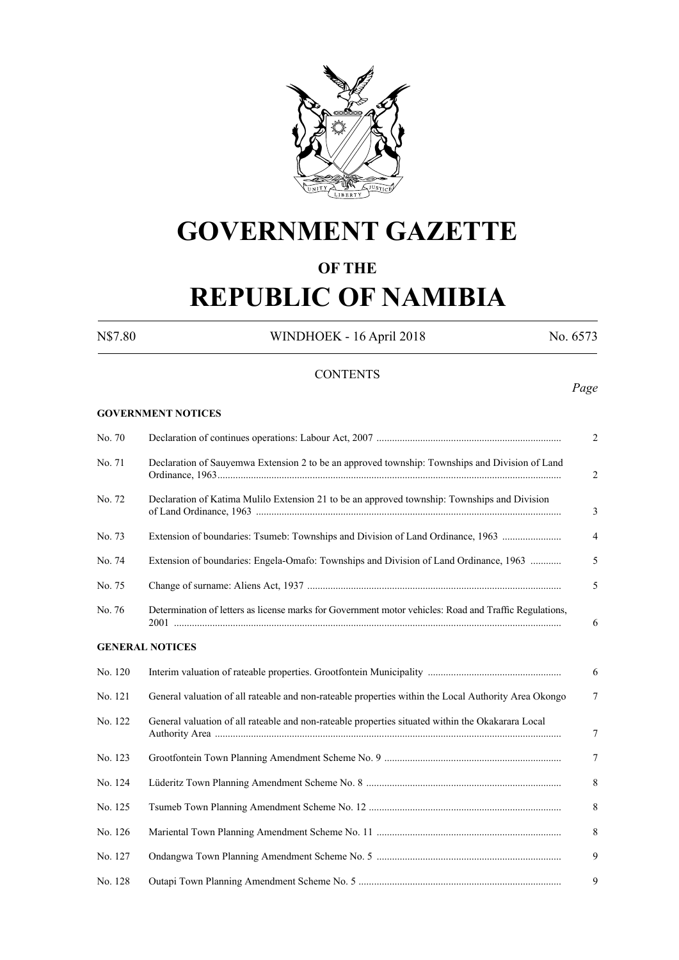

# **GOVERNMENT GAZETTE**

### **OF THE**

# **REPUBLIC OF NAMIBIA**

**GOVERNMENT NOTICES**

N\$7.80 WINDHOEK - 16 April 2018 No. 6573

#### **CONTENTS**

## *Page*

| No. 70  |                                                                                                        | $\overline{2}$ |
|---------|--------------------------------------------------------------------------------------------------------|----------------|
| No. 71  | Declaration of Sauyemwa Extension 2 to be an approved township: Townships and Division of Land         | 2              |
| No. 72  | Declaration of Katima Mulilo Extension 21 to be an approved township: Townships and Division           | 3              |
| No. 73  | Extension of boundaries: Tsumeb: Townships and Division of Land Ordinance, 1963                        | $\overline{4}$ |
| No. 74  | Extension of boundaries: Engela-Omafo: Townships and Division of Land Ordinance, 1963                  | 5              |
| No. 75  |                                                                                                        | 5              |
| No. 76  | Determination of letters as license marks for Government motor vehicles: Road and Traffic Regulations, | 6              |
|         | <b>GENERAL NOTICES</b>                                                                                 |                |
| No. 120 |                                                                                                        | 6              |
| No. 121 | General valuation of all rateable and non-rateable properties within the Local Authority Area Okongo   | 7              |
| No. 122 | General valuation of all rateable and non-rateable properties situated within the Okakarara Local      | 7              |
| No. 123 |                                                                                                        | $\tau$         |
| No. 124 |                                                                                                        | 8              |
| No. 125 |                                                                                                        | 8              |
| No. 126 |                                                                                                        | 8              |
| No. 127 |                                                                                                        | 9              |
| No. 128 |                                                                                                        | 9              |
|         |                                                                                                        |                |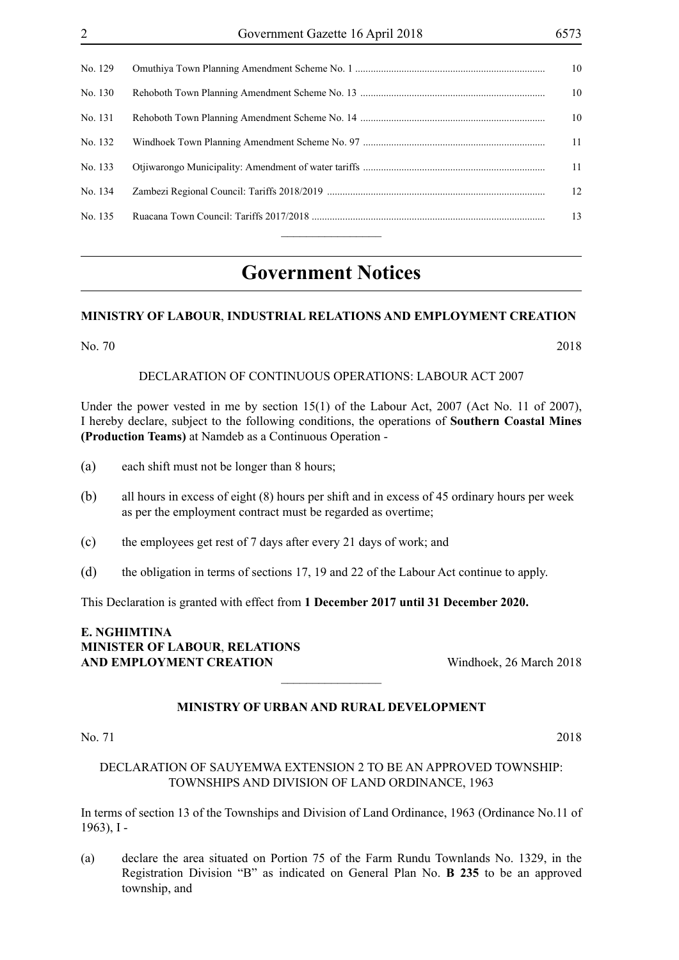| No. 129 | 10 |
|---------|----|
| No. 130 | 10 |
| No. 131 | 10 |
| No. 132 | 11 |
| No. 133 | 11 |
| No. 134 | 12 |
| No. 135 | 13 |
|         |    |

## **Government Notices**

#### **MINISTRY OF LABOUR**, **INDUSTRIAL RELATIONS AND EMPLOYMENT CREATION**

No. 70 2018

DECLARATION OF CONTINUOUS OPERATIONS: LABOUR ACT 2007

Under the power vested in me by section 15(1) of the Labour Act, 2007 (Act No. 11 of 2007), I hereby declare, subject to the following conditions, the operations of **Southern Coastal Mines (Production Teams)** at Namdeb as a Continuous Operation -

- (a) each shift must not be longer than 8 hours;
- (b) all hours in excess of eight (8) hours per shift and in excess of 45 ordinary hours per week as per the employment contract must be regarded as overtime;
- (c) the employees get rest of 7 days after every 21 days of work; and
- (d) the obligation in terms of sections 17, 19 and 22 of the Labour Act continue to apply.

This Declaration is granted with effect from **1 December 2017 until 31 December 2020.**

#### **E. NGHIMTINA MINISTER OF LABOUR**, **RELATIONS AND EMPLOYMENT CREATION** Windhoek, 26 March 2018

#### **MINISTRY OF URBAN AND RURAL DEVELOPMENT**

 $\overline{\phantom{a}}$  , where  $\overline{\phantom{a}}$ 

No. 71 2018

#### DECLARATION OF SAUYEMWA EXTENSION 2 TO BE AN APPROVED TOWNSHIP: TOWNSHIPS AND DIVISION OF LAND ORDINANCE, 1963

In terms of section 13 of the Townships and Division of Land Ordinance, 1963 (Ordinance No.11 of 1963), I -

(a) declare the area situated on Portion 75 of the Farm Rundu Townlands No. 1329, in the Registration Division "B" as indicated on General Plan No. **B 235** to be an approved township, and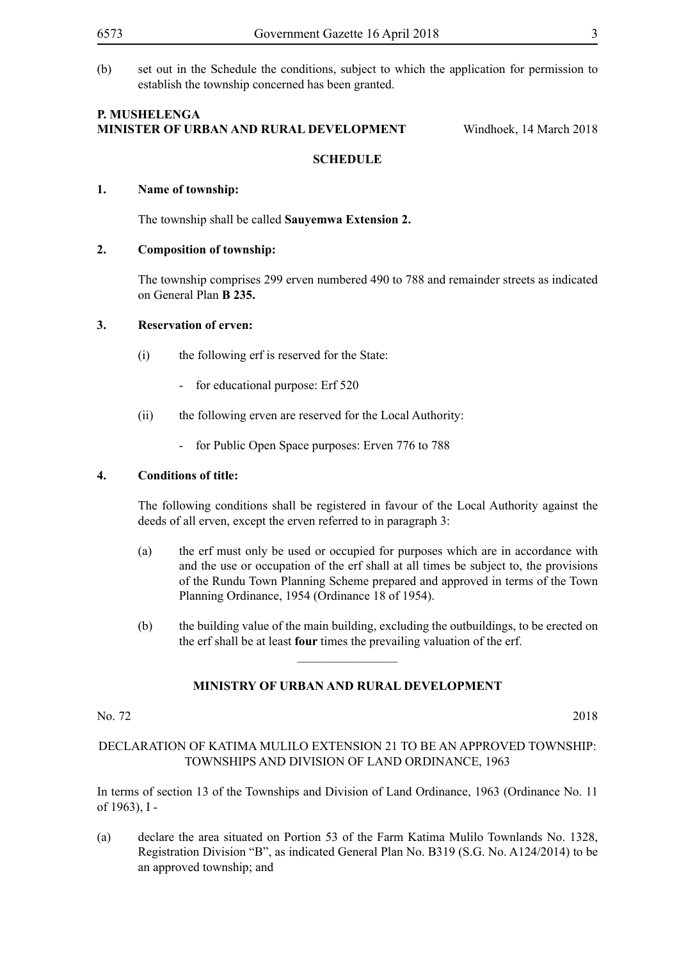(b) set out in the Schedule the conditions, subject to which the application for permission to establish the township concerned has been granted.

#### **P. Mushelenga Minister of Urban and Rural Development** Windhoek, 14 March 2018

#### **SCHEDULE**

#### **1. Name of township:**

The township shall be called **Sauyemwa Extension 2.**

#### **2. Composition of township:**

The township comprises 299 erven numbered 490 to 788 and remainder streets as indicated on General Plan **B 235.**

#### **3. Reservation of erven:**

- (i) the following erf is reserved for the State:
	- for educational purpose: Erf 520
- (ii) the following erven are reserved for the Local Authority:
	- for Public Open Space purposes: Erven 776 to 788

#### **4. Conditions of title:**

The following conditions shall be registered in favour of the Local Authority against the deeds of all erven, except the erven referred to in paragraph 3:

- (a) the erf must only be used or occupied for purposes which are in accordance with and the use or occupation of the erf shall at all times be subject to, the provisions of the Rundu Town Planning Scheme prepared and approved in terms of the Town Planning Ordinance, 1954 (Ordinance 18 of 1954).
- (b) the building value of the main building, excluding the outbuildings, to be erected on the erf shall be at least **four** times the prevailing valuation of the erf.

#### **MINISTRY OF URBAN AND RURAL DEVELOPMENT**

 $\frac{1}{2}$ 

No. 72 2018

DECLARATION OF KATIMA MULILO EXTENSION 21 TO BE AN APPROVED TOWNSHIP: TOWNSHIPS AND DIVISION OF LAND ORDINANCE, 1963

In terms of section 13 of the Townships and Division of Land Ordinance, 1963 (Ordinance No. 11 of 1963), I -

(a) declare the area situated on Portion 53 of the Farm Katima Mulilo Townlands No. 1328, Registration Division "B", as indicated General Plan No. B319 (S.G. No. A124/2014) to be an approved township; and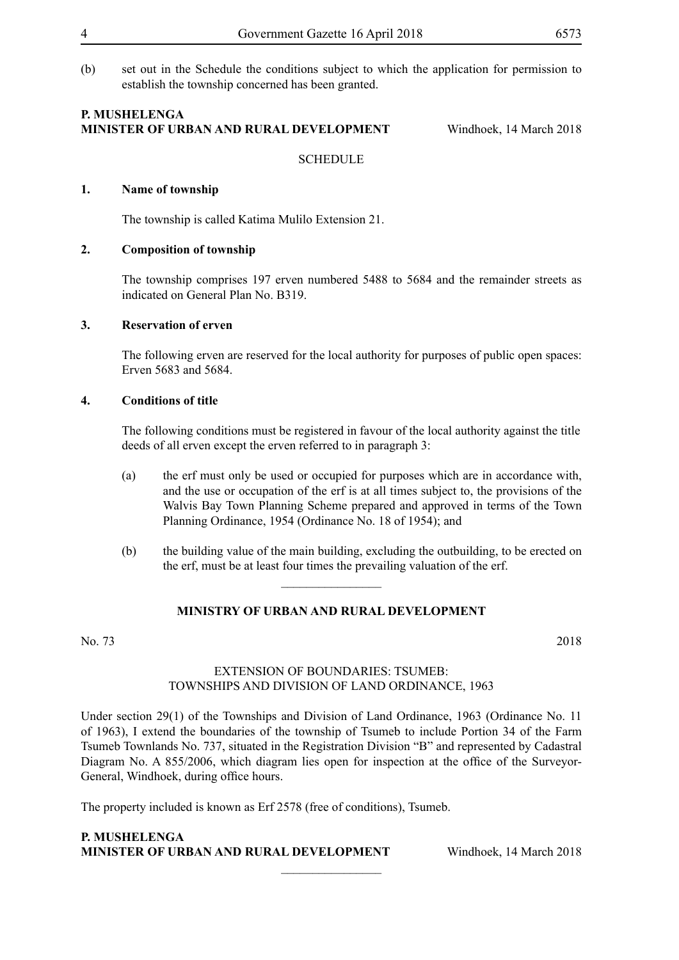(b) set out in the Schedule the conditions subject to which the application for permission to establish the township concerned has been granted.

#### **P. Mushelenga Minister of Urban and Rural Development** Windhoek, 14 March 2018

**SCHEDULE** 

#### **1. Name of township**

The township is called Katima Mulilo Extension 21.

#### **2. Composition of township**

The township comprises 197 erven numbered 5488 to 5684 and the remainder streets as indicated on General Plan No. B319.

#### **3. Reservation of erven**

The following erven are reserved for the local authority for purposes of public open spaces: Erven 5683 and 5684.

#### **4. Conditions of title**

The following conditions must be registered in favour of the local authority against the title deeds of all erven except the erven referred to in paragraph 3:

- (a) the erf must only be used or occupied for purposes which are in accordance with, and the use or occupation of the erf is at all times subject to, the provisions of the Walvis Bay Town Planning Scheme prepared and approved in terms of the Town Planning Ordinance, 1954 (Ordinance No. 18 of 1954); and
- (b) the building value of the main building, excluding the outbuilding, to be erected on the erf, must be at least four times the prevailing valuation of the erf.

#### **MINISTRY OF URBAN AND RURAL DEVELOPMENT**

 $\frac{1}{2}$ 

No. 73 2018

#### EXTENSION OF BOUNDARIES: TSUMEB: TOWNSHIPS AND DIVISION OF LAND ORDINANCE, 1963

Under section 29(1) of the Townships and Division of Land Ordinance, 1963 (Ordinance No. 11 of 1963), I extend the boundaries of the township of Tsumeb to include Portion 34 of the Farm Tsumeb Townlands No. 737, situated in the Registration Division "B" and represented by Cadastral Diagram No. A 855/2006, which diagram lies open for inspection at the office of the Surveyor-General, Windhoek, during office hours.

 $\frac{1}{2}$ 

The property included is known as Erf 2578 (free of conditions), Tsumeb.

#### **P. Mushelenga Minister of Urban and Rural Development** Windhoek, 14 March 2018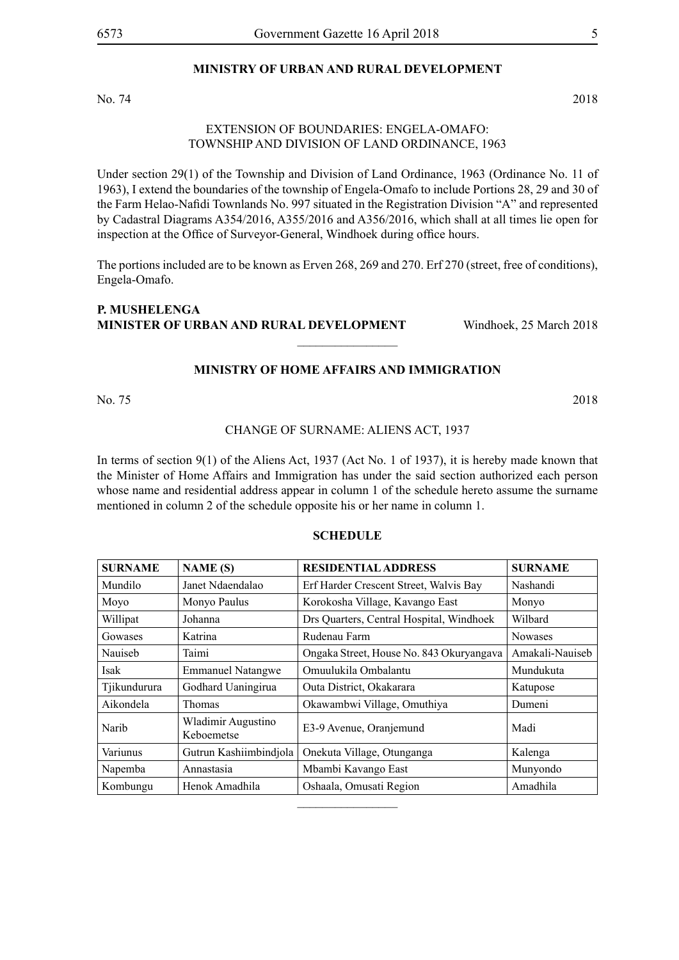#### **MINISTRY OF URBAN AND RURAL DEVELOPMENT**

No. 74 2018

#### EXTENSION OF BOUNDARIES: ENGELA-OMAFO: TOWNSHIP AND DIVISION OF LAND ORDINANCE, 1963

Under section 29(1) of the Township and Division of Land Ordinance, 1963 (Ordinance No. 11 of 1963), I extend the boundaries of the township of Engela-Omafo to include Portions 28, 29 and 30 of the Farm Helao-Nafidi Townlands No. 997 situated in the Registration Division "A" and represented by Cadastral Diagrams A354/2016, A355/2016 and A356/2016, which shall at all times lie open for inspection at the Office of Surveyor-General, Windhoek during office hours.

The portions included are to be known as Erven 268, 269 and 270. Erf 270 (street, free of conditions), Engela-Omafo.

#### **P. Mushelenga Minister of Urban and Rural Development** Windhoek, 25 March 2018

#### **MINISTRY OF HOME AFFAIRS AND IMMIGRATION**

 $\overline{\phantom{a}}$  , where  $\overline{\phantom{a}}$ 

No. 75 2018

#### CHANGE OF SURNAME: ALIENS ACT, 1937

In terms of section 9(1) of the Aliens Act, 1937 (Act No. 1 of 1937), it is hereby made known that the Minister of Home Affairs and Immigration has under the said section authorized each person whose name and residential address appear in column 1 of the schedule hereto assume the surname mentioned in column 2 of the schedule opposite his or her name in column 1.

#### **SCHEDULE**

| <b>SURNAME</b> | <b>NAME</b> (S)                  | <b>RESIDENTIAL ADDRESS</b>               | <b>SURNAME</b>  |
|----------------|----------------------------------|------------------------------------------|-----------------|
| Mundilo        | Janet Ndaendalao                 | Erf Harder Crescent Street, Walvis Bay   | Nashandi        |
| Moyo           | Monyo Paulus                     | Korokosha Village, Kavango East          | Monyo           |
| Willipat       | Johanna                          | Drs Quarters, Central Hospital, Windhoek | Wilbard         |
| Gowases        | Katrina                          | Rudenau Farm                             | <b>Nowases</b>  |
| Nauiseb        | Taimi                            | Ongaka Street, House No. 843 Okuryangava | Amakali-Nauiseb |
| Isak           | <b>Emmanuel Natangwe</b>         | Omuulukila Ombalantu                     | Mundukuta       |
| Tjikundurura   | Godhard Uaningirua               | Outa District, Okakarara                 | Katupose        |
| Aikondela      | Thomas                           | Okawambwi Village, Omuthiya              | Dumeni          |
| Narib          | Wladimir Augustino<br>Keboemetse | E3-9 Avenue, Oranjemund                  | Madi            |
| Variunus       | Gutrun Kashiimbindjola           | Onekuta Village, Otunganga               | Kalenga         |
| Napemba        | Annastasia                       | Mbambi Kavango East                      | Munyondo        |
| Kombungu       | Henok Amadhila                   | Oshaala, Omusati Region                  | Amadhila        |
|                |                                  |                                          |                 |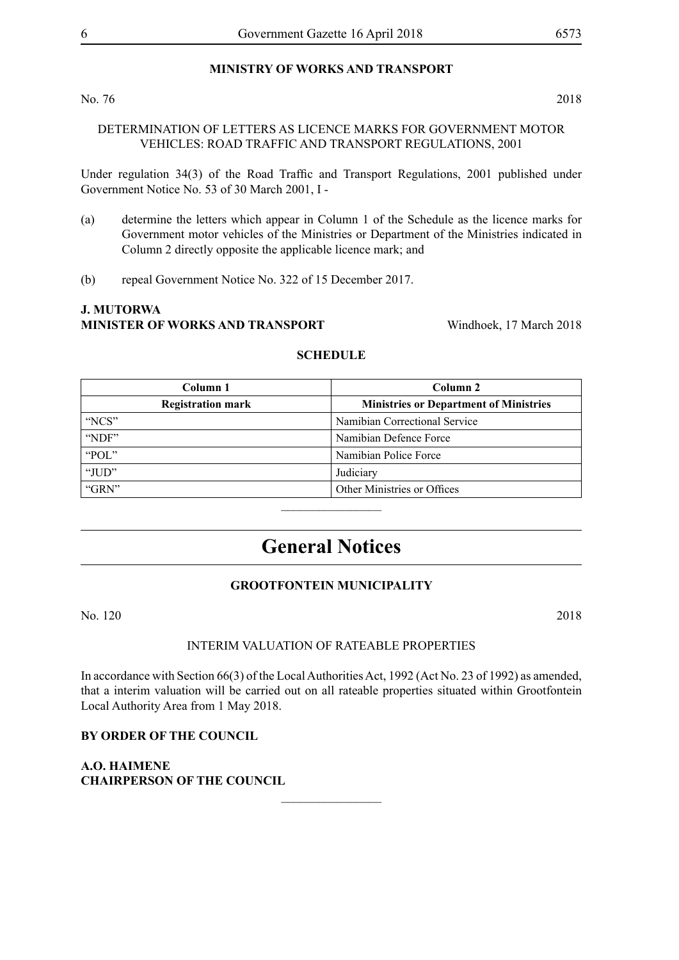#### **MINISTRY OF WORKS AND TRANSPORT**

#### No. 76 2018

DETERMINATION OF LETTERS AS LICENCE MARKS FOR GOVERNMENT MOTOR VEHICLES: ROAD TRAFFIC AND TRANSPORT REGULATIONS, 2001

Under regulation 34(3) of the Road Traffic and Transport Regulations, 2001 published under Government Notice No. 53 of 30 March 2001, I -

- (a) determine the letters which appear in Column 1 of the Schedule as the licence marks for Government motor vehicles of the Ministries or Department of the Ministries indicated in Column 2 directly opposite the applicable licence mark; and
- (b) repeal Government Notice No. 322 of 15 December 2017.

### **J. Mutorwa MINISTER OF WORKS AND TRANSPORT** Windhoek, 17 March 2018

| Column 1                 | Column 2                                      |
|--------------------------|-----------------------------------------------|
| <b>Registration mark</b> | <b>Ministries or Department of Ministries</b> |
| "NCS"                    | Namibian Correctional Service                 |
| "NDF"                    | Namibian Defence Force                        |
| "POL $"$                 | Namibian Police Force                         |
| "JUD"                    | Judiciary                                     |
| "GRN"                    | Other Ministries or Offices                   |

#### **SCHEDULE**

# **General Notices**

#### **GROOTFONTEIN MUNICIPALITY**

No. 120 2018

#### INTERIM VALUATION OF RATEABLE PROPERTIES

In accordance with Section 66(3) of the Local Authorities Act, 1992 (Act No. 23 of 1992) as amended, that a interim valuation will be carried out on all rateable properties situated within Grootfontein Local Authority Area from 1 May 2018.

 $\overline{\phantom{a}}$  , where  $\overline{\phantom{a}}$ 

**BY ORDER OF THE COUNCIL**

**A.O. HAIMENE CHAIRPERSON OF THE COUNCIL**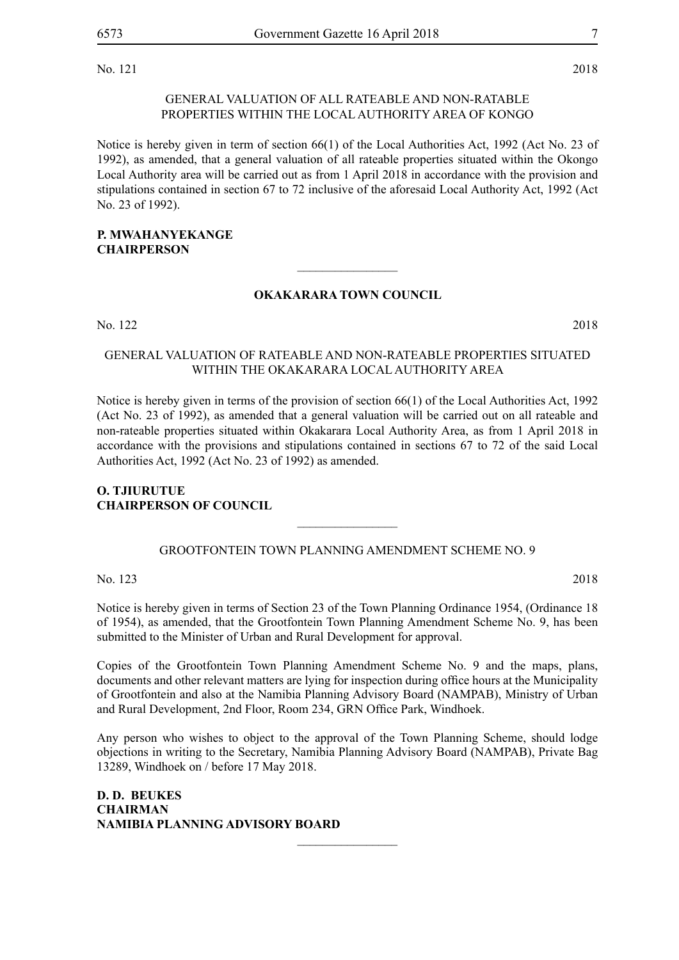No. 121 2018

#### GENERAL VALUATION OF ALL RATEABLE AND NON-RATABLE PROPERTIES WITHIN THE LOCAL AUTHORITY AREA OF KONGO

Notice is hereby given in term of section 66(1) of the Local Authorities Act, 1992 (Act No. 23 of 1992), as amended, that a general valuation of all rateable properties situated within the Okongo Local Authority area will be carried out as from 1 April 2018 in accordance with the provision and stipulations contained in section 67 to 72 inclusive of the aforesaid Local Authority Act, 1992 (Act No. 23 of 1992).

#### **P. Mwahanyekange CHAIRPERSON**

#### **OKAKARARA TOWN COUNCIL**

 $\overline{\phantom{a}}$  , where  $\overline{\phantom{a}}$ 

No. 122 2018

#### GENERAL VALUATION OF RATEABLE AND NON-RATEABLE PROPERTIES SITUATED WITHIN THE OKAKARARA LOCAL AUTHORITY AREA

Notice is hereby given in terms of the provision of section 66(1) of the Local Authorities Act, 1992 (Act No. 23 of 1992), as amended that a general valuation will be carried out on all rateable and non-rateable properties situated within Okakarara Local Authority Area, as from 1 April 2018 in accordance with the provisions and stipulations contained in sections 67 to 72 of the said Local Authorities Act, 1992 (Act No. 23 of 1992) as amended.

#### **O. Tjiurutue Chairperson of Council**

#### GROOTFONTEIN TOWN PLANNING AMENDMENT SCHEME NO. 9

 $\overline{\phantom{a}}$  , where  $\overline{\phantom{a}}$ 

No. 123 2018

Notice is hereby given in terms of Section 23 of the Town Planning Ordinance 1954, (Ordinance 18 of 1954), as amended, that the Grootfontein Town Planning Amendment Scheme No. 9, has been submitted to the Minister of Urban and Rural Development for approval.

Copies of the Grootfontein Town Planning Amendment Scheme No. 9 and the maps, plans, documents and other relevant matters are lying for inspection during office hours at the Municipality of Grootfontein and also at the Namibia Planning Advisory Board (NAMPAB), Ministry of Urban and Rural Development, 2nd Floor, Room 234, GRN Office Park, Windhoek.

Any person who wishes to object to the approval of the Town Planning Scheme, should lodge objections in writing to the Secretary, Namibia Planning Advisory Board (NAMPAB), Private Bag 13289, Windhoek on / before 17 May 2018.

 $\overline{\phantom{a}}$  , where  $\overline{\phantom{a}}$ 

**D. D. BEUKES CHAIRMAN NAMIBIA PLANNING ADVISORY BOARD**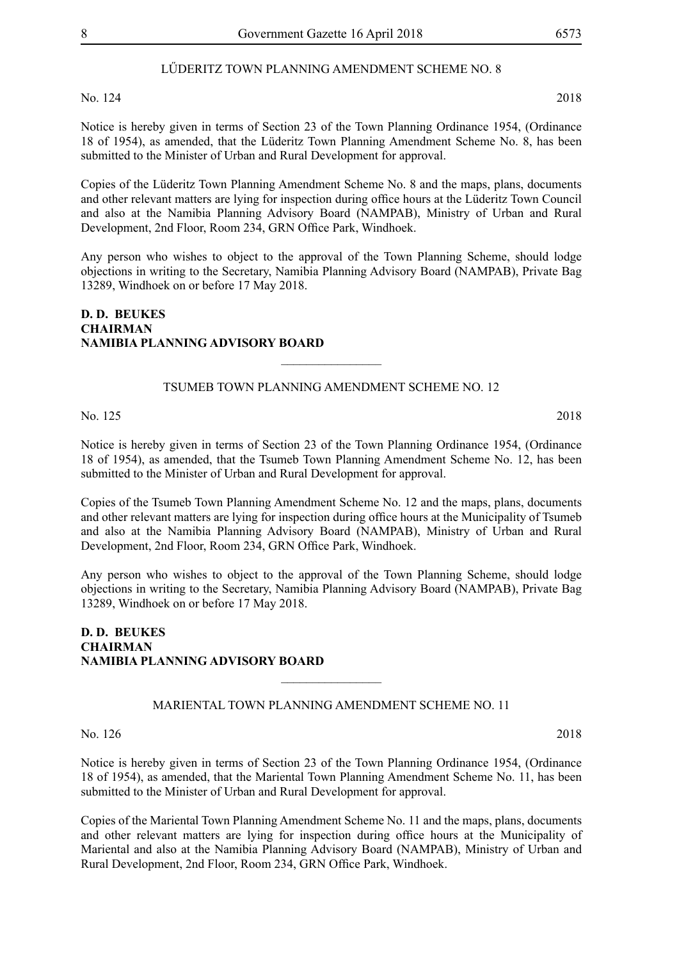#### LŰDERITZ TOWN PLANNING AMENDMENT SCHEME NO. 8

No. 124 2018

Notice is hereby given in terms of Section 23 of the Town Planning Ordinance 1954, (Ordinance 18 of 1954), as amended, that the Lüderitz Town Planning Amendment Scheme No. 8, has been submitted to the Minister of Urban and Rural Development for approval.

Copies of the Lüderitz Town Planning Amendment Scheme No. 8 and the maps, plans, documents and other relevant matters are lying for inspection during office hours at the Lüderitz Town Council and also at the Namibia Planning Advisory Board (NAMPAB), Ministry of Urban and Rural Development, 2nd Floor, Room 234, GRN Office Park, Windhoek.

Any person who wishes to object to the approval of the Town Planning Scheme, should lodge objections in writing to the Secretary, Namibia Planning Advisory Board (NAMPAB), Private Bag 13289, Windhoek on or before 17 May 2018.

#### **D. D. BEUKES CHAIRMAN NAMIBIA PLANNING ADVISORY BOARD**

#### TSUMEB TOWN PLANNING AMENDMENT SCHEME NO. 12

 $\overline{\phantom{a}}$  , where  $\overline{\phantom{a}}$ 

#### No. 125 2018

Notice is hereby given in terms of Section 23 of the Town Planning Ordinance 1954, (Ordinance 18 of 1954), as amended, that the Tsumeb Town Planning Amendment Scheme No. 12, has been submitted to the Minister of Urban and Rural Development for approval.

Copies of the Tsumeb Town Planning Amendment Scheme No. 12 and the maps, plans, documents and other relevant matters are lying for inspection during office hours at the Municipality of Tsumeb and also at the Namibia Planning Advisory Board (NAMPAB), Ministry of Urban and Rural Development, 2nd Floor, Room 234, GRN Office Park, Windhoek.

Any person who wishes to object to the approval of the Town Planning Scheme, should lodge objections in writing to the Secretary, Namibia Planning Advisory Board (NAMPAB), Private Bag 13289, Windhoek on or before 17 May 2018.

#### **D. D. BEUKES CHAIRMAN NAMIBIA PLANNING ADVISORY BOARD**

MARIENTAL TOWN PLANNING AMENDMENT SCHEME NO. 11

 $\frac{1}{2}$ 

No. 126 2018

Notice is hereby given in terms of Section 23 of the Town Planning Ordinance 1954, (Ordinance 18 of 1954), as amended, that the Mariental Town Planning Amendment Scheme No. 11, has been submitted to the Minister of Urban and Rural Development for approval.

Copies of the Mariental Town Planning Amendment Scheme No. 11 and the maps, plans, documents and other relevant matters are lying for inspection during office hours at the Municipality of Mariental and also at the Namibia Planning Advisory Board (NAMPAB), Ministry of Urban and Rural Development, 2nd Floor, Room 234, GRN Office Park, Windhoek.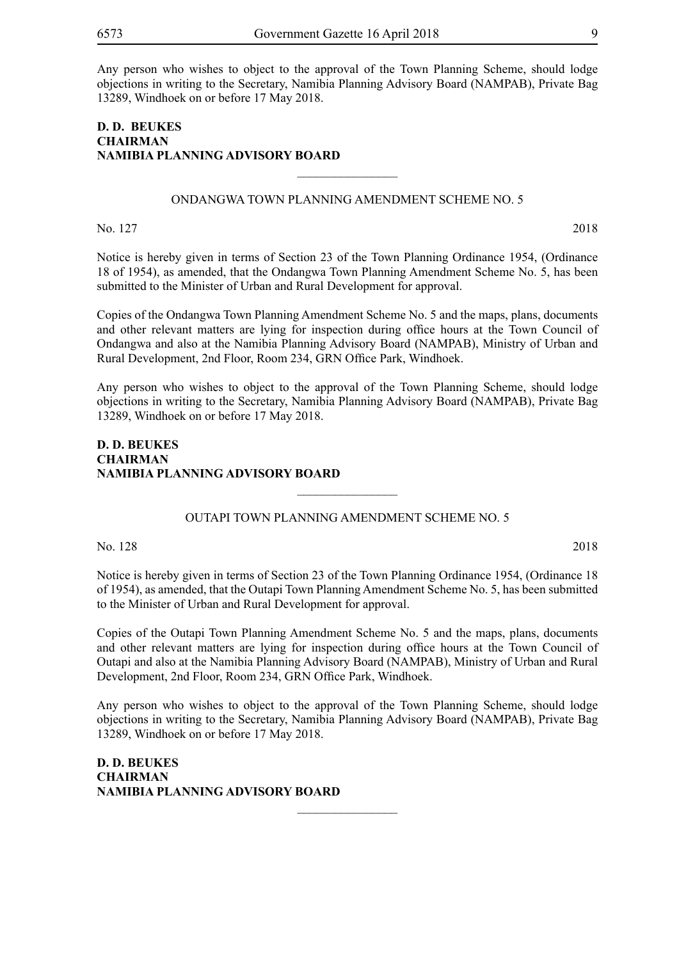Any person who wishes to object to the approval of the Town Planning Scheme, should lodge objections in writing to the Secretary, Namibia Planning Advisory Board (NAMPAB), Private Bag 13289, Windhoek on or before 17 May 2018.

#### **D. D. BEUKES CHAIRMAN NAMIBIA PLANNING ADVISORY BOARD**

#### ONDANGWA TOWN PLANNING AMENDMENT SCHEME NO. 5

 $\overline{\phantom{a}}$  , where  $\overline{\phantom{a}}$ 

No. 127 2018

Notice is hereby given in terms of Section 23 of the Town Planning Ordinance 1954, (Ordinance 18 of 1954), as amended, that the Ondangwa Town Planning Amendment Scheme No. 5, has been submitted to the Minister of Urban and Rural Development for approval.

Copies of the Ondangwa Town Planning Amendment Scheme No. 5 and the maps, plans, documents and other relevant matters are lying for inspection during office hours at the Town Council of Ondangwa and also at the Namibia Planning Advisory Board (NAMPAB), Ministry of Urban and Rural Development, 2nd Floor, Room 234, GRN Office Park, Windhoek.

Any person who wishes to object to the approval of the Town Planning Scheme, should lodge objections in writing to the Secretary, Namibia Planning Advisory Board (NAMPAB), Private Bag 13289, Windhoek on or before 17 May 2018.

#### **D. D. BEUKES CHAIRMAN NAMIBIA PLANNING ADVISORY BOARD**

#### OUTAPI TOWN PLANNING AMENDMENT SCHEME NO. 5

 $\overline{\phantom{a}}$  , where  $\overline{\phantom{a}}$ 

No. 128 2018

Notice is hereby given in terms of Section 23 of the Town Planning Ordinance 1954, (Ordinance 18 of 1954), as amended, that the Outapi Town Planning Amendment Scheme No. 5, has been submitted to the Minister of Urban and Rural Development for approval.

Copies of the Outapi Town Planning Amendment Scheme No. 5 and the maps, plans, documents and other relevant matters are lying for inspection during office hours at the Town Council of Outapi and also at the Namibia Planning Advisory Board (NAMPAB), Ministry of Urban and Rural Development, 2nd Floor, Room 234, GRN Office Park, Windhoek.

Any person who wishes to object to the approval of the Town Planning Scheme, should lodge objections in writing to the Secretary, Namibia Planning Advisory Board (NAMPAB), Private Bag 13289, Windhoek on or before 17 May 2018.

 $\overline{\phantom{a}}$  , where  $\overline{\phantom{a}}$ 

**D. D. BEUKES CHAIRMAN NAMIBIA PLANNING ADVISORY BOARD**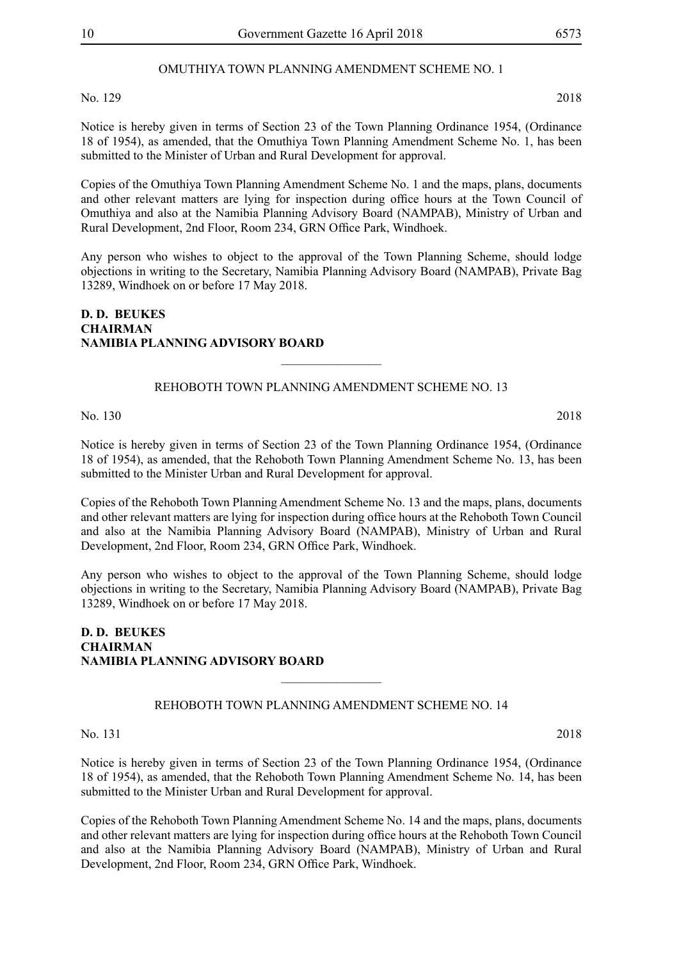#### OMUTHIYA TOWN PLANNING AMENDMENT SCHEME NO. 1

No. 129 2018

Notice is hereby given in terms of Section 23 of the Town Planning Ordinance 1954, (Ordinance 18 of 1954), as amended, that the Omuthiya Town Planning Amendment Scheme No. 1, has been submitted to the Minister of Urban and Rural Development for approval.

Copies of the Omuthiya Town Planning Amendment Scheme No. 1 and the maps, plans, documents and other relevant matters are lying for inspection during office hours at the Town Council of Omuthiya and also at the Namibia Planning Advisory Board (NAMPAB), Ministry of Urban and Rural Development, 2nd Floor, Room 234, GRN Office Park, Windhoek.

Any person who wishes to object to the approval of the Town Planning Scheme, should lodge objections in writing to the Secretary, Namibia Planning Advisory Board (NAMPAB), Private Bag 13289, Windhoek on or before 17 May 2018.

#### **D. D. BEUKES CHAIRMAN NAMIBIA PLANNING ADVISORY BOARD**

REHOBOTH TOWN PLANNING AMENDMENT SCHEME NO. 13

 $\overline{\phantom{a}}$  , where  $\overline{\phantom{a}}$ 

No. 130 2018

Notice is hereby given in terms of Section 23 of the Town Planning Ordinance 1954, (Ordinance 18 of 1954), as amended, that the Rehoboth Town Planning Amendment Scheme No. 13, has been submitted to the Minister Urban and Rural Development for approval.

Copies of the Rehoboth Town Planning Amendment Scheme No. 13 and the maps, plans, documents and other relevant matters are lying for inspection during office hours at the Rehoboth Town Council and also at the Namibia Planning Advisory Board (NAMPAB), Ministry of Urban and Rural Development, 2nd Floor, Room 234, GRN Office Park, Windhoek.

Any person who wishes to object to the approval of the Town Planning Scheme, should lodge objections in writing to the Secretary, Namibia Planning Advisory Board (NAMPAB), Private Bag 13289, Windhoek on or before 17 May 2018.

#### **D. D. BEUKES CHAIRMAN NAMIBIA PLANNING ADVISORY BOARD**

REHOBOTH TOWN PLANNING AMENDMENT SCHEME NO. 14

 $\frac{1}{2}$ 

No. 131 2018

Notice is hereby given in terms of Section 23 of the Town Planning Ordinance 1954, (Ordinance 18 of 1954), as amended, that the Rehoboth Town Planning Amendment Scheme No. 14, has been submitted to the Minister Urban and Rural Development for approval.

Copies of the Rehoboth Town Planning Amendment Scheme No. 14 and the maps, plans, documents and other relevant matters are lying for inspection during office hours at the Rehoboth Town Council and also at the Namibia Planning Advisory Board (NAMPAB), Ministry of Urban and Rural Development, 2nd Floor, Room 234, GRN Office Park, Windhoek.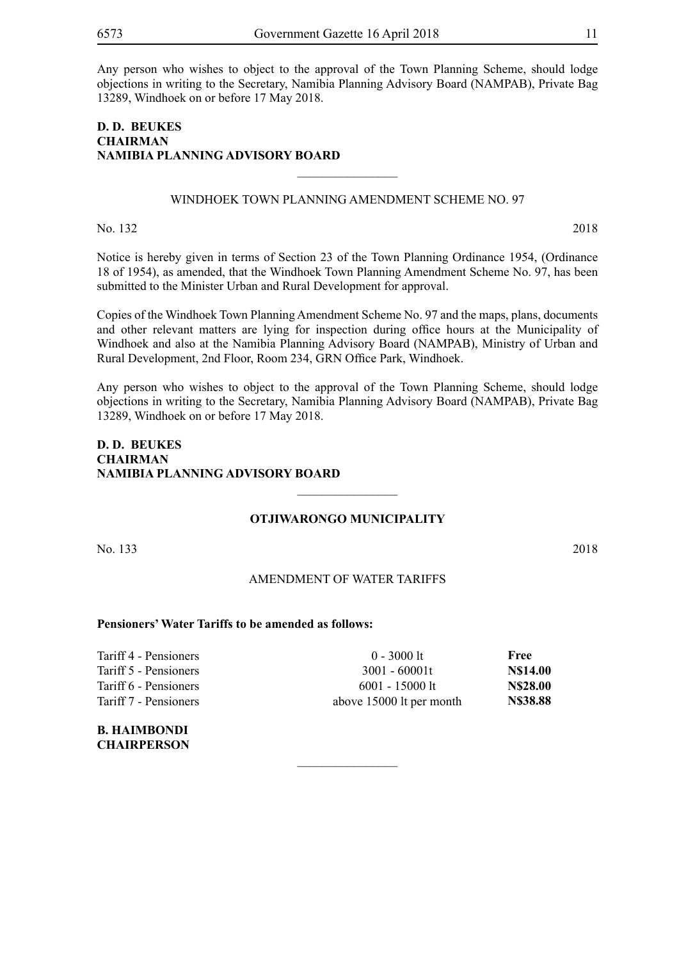Any person who wishes to object to the approval of the Town Planning Scheme, should lodge objections in writing to the Secretary, Namibia Planning Advisory Board (NAMPAB), Private Bag 13289, Windhoek on or before 17 May 2018.

#### **D. D. BEUKES CHAIRMAN NAMIBIA PLANNING ADVISORY BOARD**

#### WINDHOEK TOWN PLANNING AMENDMENT SCHEME NO. 97

 $\overline{\phantom{a}}$  , where  $\overline{\phantom{a}}$ 

No. 132 2018

Notice is hereby given in terms of Section 23 of the Town Planning Ordinance 1954, (Ordinance 18 of 1954), as amended, that the Windhoek Town Planning Amendment Scheme No. 97, has been submitted to the Minister Urban and Rural Development for approval.

Copies of the Windhoek Town Planning Amendment Scheme No. 97 and the maps, plans, documents and other relevant matters are lying for inspection during office hours at the Municipality of Windhoek and also at the Namibia Planning Advisory Board (NAMPAB), Ministry of Urban and Rural Development, 2nd Floor, Room 234, GRN Office Park, Windhoek.

Any person who wishes to object to the approval of the Town Planning Scheme, should lodge objections in writing to the Secretary, Namibia Planning Advisory Board (NAMPAB), Private Bag 13289, Windhoek on or before 17 May 2018.

#### **D. D. BEUKES CHAIRMAN NAMIBIA PLANNING ADVISORY BOARD**

#### **OTJIWARONGO MUNICIPALITY**

 $\overline{\phantom{a}}$  , where  $\overline{\phantom{a}}$ 

No. 133 2018

#### AMENDMENT OF WATER TARIFFS

 $\overline{\phantom{a}}$  , where  $\overline{\phantom{a}}$ 

#### **Pensioners' Water Tariffs to be amended as follows:**

| Tariff 4 - Pensioners | $0 - 3000$ lt            | Free            |
|-----------------------|--------------------------|-----------------|
| Tariff 5 - Pensioners | $3001 - 60001t$          | <b>N\$14.00</b> |
| Tariff 6 - Pensioners | $6001 - 15000$ lt        | <b>NS28.00</b>  |
| Tariff 7 - Pensioners | above 15000 lt per month | <b>N\$38.88</b> |
|                       |                          |                 |

**B. HAIMBONDI CHAIRPERSON**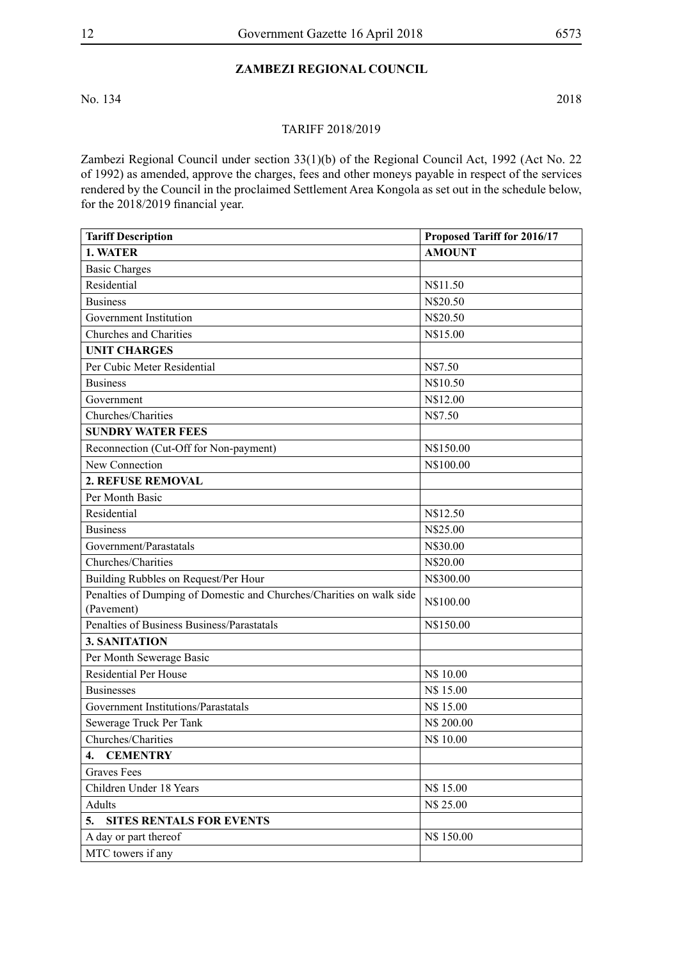#### **ZAMBEZI REGIONAL COUNCIL**

No. 134 2018

#### TARIFF 2018/2019

Zambezi Regional Council under section 33(1)(b) of the Regional Council Act, 1992 (Act No. 22 of 1992) as amended, approve the charges, fees and other moneys payable in respect of the services rendered by the Council in the proclaimed Settlement Area Kongola as set out in the schedule below, for the 2018/2019 financial year.

| <b>Tariff Description</b>                                                          | Proposed Tariff for 2016/17 |  |
|------------------------------------------------------------------------------------|-----------------------------|--|
| 1. WATER                                                                           | <b>AMOUNT</b>               |  |
| <b>Basic Charges</b>                                                               |                             |  |
| Residential                                                                        | N\$11.50                    |  |
| <b>Business</b>                                                                    | N\$20.50                    |  |
| Government Institution                                                             | N\$20.50                    |  |
| Churches and Charities                                                             | N\$15.00                    |  |
| <b>UNIT CHARGES</b>                                                                |                             |  |
| Per Cubic Meter Residential                                                        | N\$7.50                     |  |
| <b>Business</b>                                                                    | N\$10.50                    |  |
| Government                                                                         | N\$12.00                    |  |
| Churches/Charities                                                                 | N\$7.50                     |  |
| <b>SUNDRY WATER FEES</b>                                                           |                             |  |
| Reconnection (Cut-Off for Non-payment)                                             | N\$150.00                   |  |
| New Connection                                                                     | N\$100.00                   |  |
| <b>2. REFUSE REMOVAL</b>                                                           |                             |  |
| Per Month Basic                                                                    |                             |  |
| Residential                                                                        | N\$12.50                    |  |
| <b>Business</b>                                                                    | N\$25.00                    |  |
| Government/Parastatals                                                             | N\$30.00                    |  |
| Churches/Charities                                                                 | N\$20.00                    |  |
| Building Rubbles on Request/Per Hour                                               | N\$300.00                   |  |
| Penalties of Dumping of Domestic and Churches/Charities on walk side<br>(Pavement) | N\$100.00                   |  |
| Penalties of Business Business/Parastatals                                         | N\$150.00                   |  |
| 3. SANITATION                                                                      |                             |  |
| Per Month Sewerage Basic                                                           |                             |  |
| <b>Residential Per House</b>                                                       | N\$ 10.00                   |  |
| <b>Businesses</b>                                                                  | N\$ 15.00                   |  |
| Government Institutions/Parastatals                                                | N\$ 15.00                   |  |
| Sewerage Truck Per Tank                                                            | N\$ 200.00                  |  |
| Churches/Charities                                                                 | N\$ 10.00                   |  |
| <b>CEMENTRY</b><br>4.                                                              |                             |  |
| <b>Graves Fees</b>                                                                 |                             |  |
| Children Under 18 Years                                                            | N\$ 15.00                   |  |
| Adults                                                                             | N\$ 25.00                   |  |
| <b>SITES RENTALS FOR EVENTS</b><br>5.                                              |                             |  |
| A day or part thereof                                                              | N\$ 150.00                  |  |
| MTC towers if any                                                                  |                             |  |